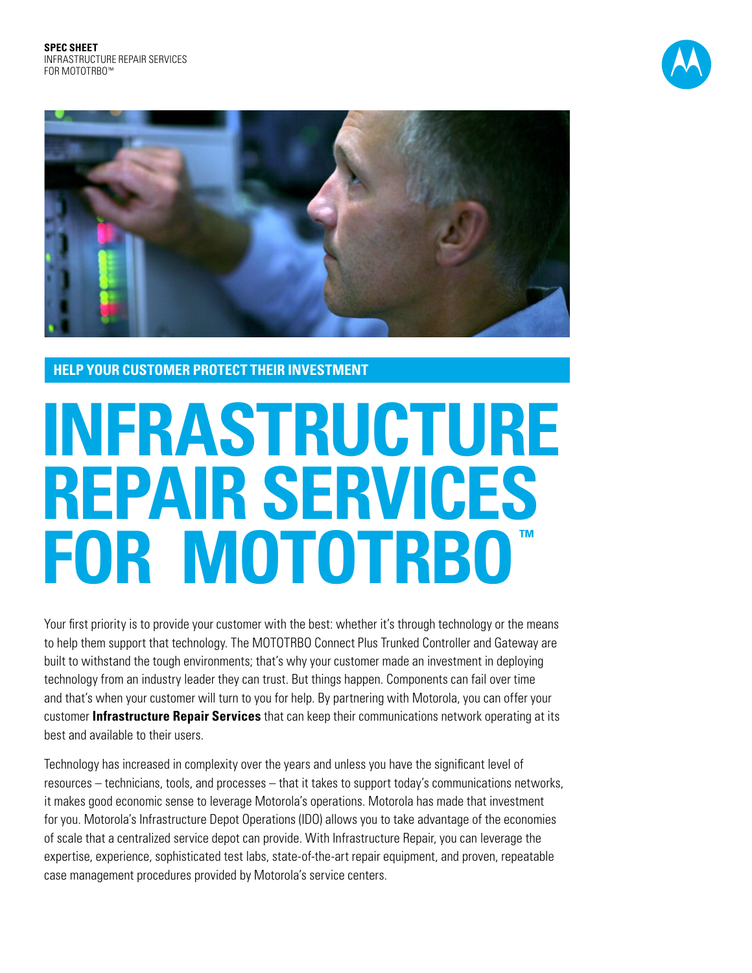



**HELP YOUR CUSTOMER PROTECT THEIR INVESTMENT**

# **Infrastructure Repair Services FOR MOTOTRBO**

Your first priority is to provide your customer with the best: whether it's through technology or the means to help them support that technology. The MOTOTRBO Connect Plus Trunked Controller and Gateway are built to withstand the tough environments; that's why your customer made an investment in deploying technology from an industry leader they can trust. But things happen. Components can fail over time and that's when your customer will turn to you for help. By partnering with Motorola, you can offer your customer **Infrastructure Repair Services** that can keep their communications network operating at its best and available to their users.

Technology has increased in complexity over the years and unless you have the significant level of resources – technicians, tools, and processes – that it takes to support today's communications networks, it makes good economic sense to leverage Motorola's operations. Motorola has made that investment for you. Motorola's Infrastructure Depot Operations (IDO) allows you to take advantage of the economies of scale that a centralized service depot can provide. With Infrastructure Repair, you can leverage the expertise, experience, sophisticated test labs, state-of-the-art repair equipment, and proven, repeatable case management procedures provided by Motorola's service centers.